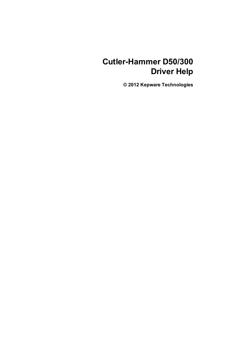# **Cutler-Hammer D50/300 Driver Help**

**© 2012 Kepware Technologies**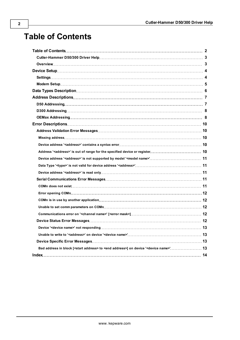# <span id="page-1-0"></span>**Table of Contents**

| Bad address in block [ <start address=""> to <end address="">] on device '<device name="">' 13</device></end></start> |  |
|-----------------------------------------------------------------------------------------------------------------------|--|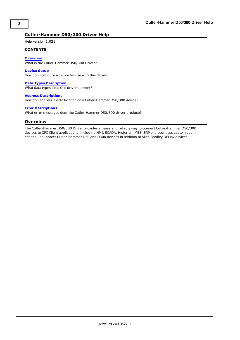#### <span id="page-2-0"></span>**Cutler-Hammer D50/300 Driver Help**

Help version 1.021

#### **CONTENTS**

#### **[Overview](#page-2-1)**

What is the Cutler-Hammer D50/300 Driver?

#### **[Device](#page-3-0) [Setup](#page-3-0)**

How do I configure a device for use with this driver?

#### **[Data](#page-5-0) [Types](#page-5-0) [Description](#page-5-0)**

What data types does this driver support?

#### **[Address](#page-6-0) [Descriptions](#page-6-0)**

How do I address a data location on a Cutler-Hammer D50/300 device?

#### **[Error](#page-9-0) [Descriptions](#page-9-0)**

<span id="page-2-1"></span>What error messages does the Cutler-Hammer D50/300 driver produce?

#### **Overview**

The Cutler-Hammer D50/300 Driver provides an easy and reliable way to connect Cutler-Hammer D50/300 devices to OPC Client applications, including HMI, SCADA, Historian, MES, ERP and countless custom applications. It supports Cutler-Hammer D50 and D300 devices in addition to Allen Bradley OEMax devices.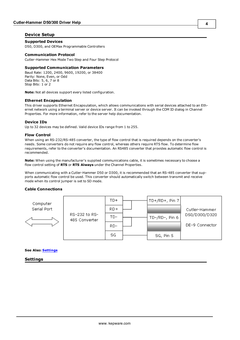#### <span id="page-3-0"></span>**Device Setup**

#### **Supported Devices**

D50, D300, and OEMax Programmable Controllers

#### **Communication Protocol**

Cutler-Hammer Hex Mode Two Step and Four Step Protocol

#### **Supported Communication Parameters**

Baud Rate: 1200, 2400, 9600, 19200, or 38400 Parity: None, Even, or Odd Data Bits: 5, 6, 7 or 8 Stop Bits: 1 or 2

**Note:** Not all devices support every listed configuration.

#### <span id="page-3-3"></span>**Ethernet Encapsulation**

This driver supports Ethernet Encapsulation, which allows communications with serial devices attached to an Ethernet network using a terminal server or device server. It can be invoked through the COM ID dialog in Channel Properties. For more information, refer to the server help documentation.

#### <span id="page-3-2"></span>**Device IDs**

Up to 32 devices may be defined. Valid device IDs range from 1 to 255.

#### **Flow Control**

When using an RS-232/RS-485 converter, the type of flow control that is required depends on the converter's needs. Some converters do not require any flow control, whereas others require RTS flow. To determine flow requirements, refer to the converter's documentation. An RS485 converter that provides automatic flow control is recommended.

**Note:** When using the manufacturer's supplied communications cable, it is sometimes necessary to choose a flow control setting of **RTS** or **RTS Always** under the Channel Properties.

When communicating with a Cutler-Hammer D50 or D300, it is recommended that an RS-485 converter that supports automatic flow control be used. This converter should automatically switch between transmit and receive mode when its control jumper is set to SD mode.

#### **Cable Connections**

| Computer    |                                | TD+   | TD+/RD+, Pin 7 |                |
|-------------|--------------------------------|-------|----------------|----------------|
| Serial Port |                                | $RD+$ |                | Cutler-Hammer  |
|             | RS-232 to RS-<br>485 Converter | TD-   | TD-/RD-, Pin 6 | D50/D300/D320  |
|             |                                | $RD-$ |                | DE-9 Connector |
|             |                                | SG    | SG, Pin 5      |                |

<span id="page-3-1"></span>**See Also: [Settings](#page-3-1)**

**Settings**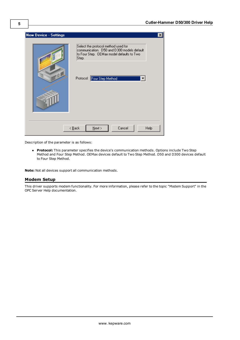

Description of the parameter is as follows:

**Protocol:** This parameter specifies the device's communication methods. Options include Two Step Method and Four Step Method. OEMax devices default to Two Step Method. D50 and D300 devices default to Four Step Method.

<span id="page-4-0"></span>**Note:** Not all devices support all communication methods.

#### **Modem Setup**

This driver supports modem functionality. For more information, please refer to the topic "Modem Support" in the OPC Server Help documentation.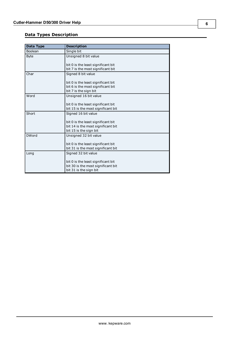### <span id="page-5-0"></span>**Data Types Description**

<span id="page-5-7"></span><span id="page-5-6"></span><span id="page-5-5"></span><span id="page-5-4"></span><span id="page-5-3"></span><span id="page-5-2"></span><span id="page-5-1"></span>

| Data Type    | <b>Description</b>                                         |
|--------------|------------------------------------------------------------|
| Boolean      | Single bit                                                 |
| <b>Byte</b>  | Unsigned 8 bit value                                       |
|              |                                                            |
|              | bit 0 is the least significant bit                         |
|              | bit 7 is the most significant bit                          |
| Char         | Signed 8 bit value                                         |
|              |                                                            |
|              | bit 0 is the least significant bit                         |
|              | bit 6 is the most significant bit<br>bit 7 is the sign bit |
| Word         |                                                            |
|              | Unsigned 16 bit value                                      |
|              | bit 0 is the least significant bit                         |
|              | bit 15 is the most significant bit                         |
| Short        | Signed 16 bit value                                        |
|              |                                                            |
|              | bit 0 is the least significant bit                         |
|              | bit 14 is the most significant bit                         |
|              | bit 15 is the sign bit                                     |
| <b>DWord</b> | Unsigned 32 bit value                                      |
|              |                                                            |
|              | bit 0 is the least significant bit                         |
|              | bit 31 is the most significant bit                         |
| Long         | Signed 32 bit value                                        |
|              |                                                            |
|              | bit 0 is the least significant bit                         |
|              | bit 30 is the most significant bit                         |
|              | bit 31 is the sign bit                                     |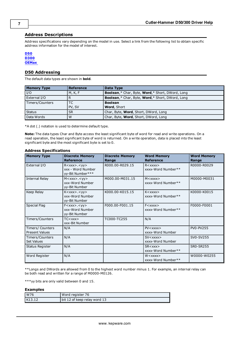#### <span id="page-6-0"></span>**Address Descriptions**

Address specifications vary depending on the model in use. Select a link from the following list to obtain specific address information for the model of interest.

#### **[D50](#page-6-1) [D300](#page-7-0) [OEMax](#page-7-1)**

#### <span id="page-6-1"></span>**D50 Addressing**

The default data types are shown in **bold**.

| <b>Memory Type</b> | <b>Reference</b> | Data Type                                                     |
|--------------------|------------------|---------------------------------------------------------------|
| I/O                | M, K, F          | <b>Boolean,*</b> Char, Byte, <b>Word,*</b> Short, DWord, Long |
| External I/O       |                  | <b>Boolean,*</b> Char, Byte, <b>Word,*</b> Short, DWord, Long |
| Timers/Counters    | ТC               | <b>Boolean</b>                                                |
|                    | PV, SV           | <b>Word, Short</b>                                            |
| <b>Status</b>      | SR.              | Char, Byte, Word, Short, DWord, Long                          |
| Data Words         | W                | Char, Byte, Word, Short, DWord, Long                          |

\*A dot (.) notation is used to determine default type.

**Note:** The data types Char and Byte access the least significant byte of word for read and write operations. On a read operation, the least significant byte of word is returned. On a write operation, data is placed into the least significant byte and the most significant byte is set to 0.

#### **Address Specifications**

| <b>Memory Type</b>                        | <b>Discrete Memory</b><br><b>Reference</b>                           | <b>Discrete Memory</b><br>Range | <b>Word Memory</b><br><b>Reference</b>       | <b>Word Memory</b><br>Range |
|-------------------------------------------|----------------------------------------------------------------------|---------------------------------|----------------------------------------------|-----------------------------|
| External I/O                              | R < xxx > . < yy ><br>xxx - Word Number<br>yy-Bit Number***          | R000.00-R029.15                 | $R < x$ $xx$ $x$<br>xxxx-Word Number**       | R0000-R0029                 |
| Internal Relay                            | M < xxx > . < yy ><br>xxx-Word Number<br>yy-Bit Number               | M000.00-M031.15                 | M < xxxx<br>xxxx-Word Number**               | M0000-M0031                 |
| Keep Relay                                | K < xxx > . < yy ><br>xxx-Word Number<br>yy-Bit Number               | K000.00-K015.15                 | $K <$ xxxx $>$<br>xxxx-Word Number**         | K0000-K0015                 |
| <b>Special Flag</b>                       | F < xxx > . < yy ><br>xxx-Word Number<br>yy-Bit Number               | F000.00-F001.15                 | $F<\mathsf{XXX}\times$<br>xxxx-Word Number** | F0000-F0001                 |
| Timers/Counters                           | $TC<$ $\angle$ $\angle$ $\times$ $\times$ $\times$<br>xxx-Bit Number | TC000-TC255                     | N/A                                          |                             |
| Timers/ Counters<br><b>Present Values</b> | N/A                                                                  |                                 | PV < xxxx ><br>xxxx-Word Number              | <b>PV0-PV255</b>            |
| Timers/Counters<br><b>Set Values</b>      | N/A                                                                  |                                 | $SV <$ $xxxx$<br>xxxx-Word Number            | SV0-SV255                   |
| <b>Status Register</b>                    | N/A                                                                  |                                 | $SR <$ xxx $>$<br>xxxx-Word Number**         | <b>SR0-SR255</b>            |
| Word Register                             | N/A                                                                  |                                 | W < xxxx<br>xxxx-Word Number**               | W0000-W0255                 |

\*\*Longs and DWords are allowed from 0 to the highest word number minus 1. For example, an internal relay can be both read and written for a range of M0000-M0126.

\*\*\*yy bits are only valid between 0 and 15.

#### **Examples**

| W76    | Word register 76             |
|--------|------------------------------|
| K13.12 | bit 12 of keep relay word 13 |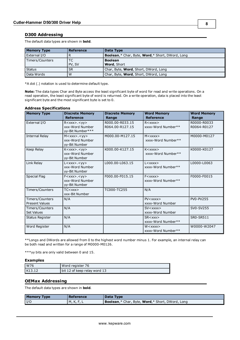#### <span id="page-7-0"></span>**D300 Addressing**

The default data types are shown in **bold**.

| <b>Memory Type</b> | Reference     | Data Type                                                     |
|--------------------|---------------|---------------------------------------------------------------|
| External I/O       | R             | <b>Boolean,*</b> Char, Byte, <b>Word,*</b> Short, DWord, Long |
| Timers/Counters    | ТC            | <b>Boolean</b>                                                |
|                    | <b>PV, SV</b> | <b>Word, Short</b>                                            |
| <b>Status</b>      | <b>SR</b>     | Char, Byte, <b>Word</b> , Short, DWord, Long                  |
| Data Words         | ı W           | Char, Byte, Word, Short, DWord, Long                          |

\*A dot (.) notation is used to determine default type.

**Note:** The data types Char and Byte access the least significant byte of word for read and write operations. On a read operation, the least significant byte of word is returned. On a write operation, data is placed into the least significant byte and the most significant byte is set to 0.

| <b>Address Specifications</b>            |                                                             |                                    |                                        |                             |  |
|------------------------------------------|-------------------------------------------------------------|------------------------------------|----------------------------------------|-----------------------------|--|
| <b>Memory Type</b>                       | <b>Discrete Memory</b><br><b>Reference</b>                  | <b>Discrete Memory</b><br>Range    | <b>Word Memory</b><br><b>Reference</b> | <b>Word Memory</b><br>Range |  |
| External I/O                             | R < xxx > . < yy ><br>xxx-Word Number<br>yy-Bit Number***   | R000.00-R033.15<br>R064.00-R127.15 | R < xxxx<br>xxxx-Word Number**         | R0000-R0033<br>R0064-R0127  |  |
| Internal Relay                           | M < xxx > . < yy ><br>xxx-Word Number<br>yy-Bit Number      | M000.00-M127.15                    | M < xxxx<br>xxxx-Word Number**         | M0000-M0127                 |  |
| Keep Relay                               | K < xxx > . < yy ><br>xxx-Word Number<br>yy-Bit Number      | K000.00-K127.15                    | $K <$ xxxx $>$<br>xxxx-Word Number**   | K0000-K0127                 |  |
| Link Relay                               | L < xxx > . < yy ><br>xxx-Word Number<br>yy-Bit Number      | L000.00-L063.15                    | L < xxxx<br>xxxx-Word Number**         | L0000-L0063                 |  |
| Special Flag                             | $F$ < xxx>. < yy><br>xxx-Word Number<br>yy-Bit Number       | F000.00-F015.15                    | $F<\mathsf{XXX}$<br>xxxx-Word Number** | F0000-F0015                 |  |
| Timers/Counters                          | $TC<$ $\times$ $\times$ $\times$ $\times$<br>xxx-Bit Number | TC000-TC255                        | N/A                                    |                             |  |
| Timers/Counters<br><b>Present Values</b> | N/A                                                         |                                    | PV < xxxx ><br>xxxx-Word Number        | <b>PV0-PV255</b>            |  |
| Timers/Counters<br><b>Set Values</b>     | N/A                                                         |                                    | $SV <$ xxxx $>$<br>xxxx-Word Number    | SV0-SV255                   |  |
| <b>Status Register</b>                   | N/A                                                         |                                    | $SR <$ xxx $>$<br>xxxx-Word Number**   | <b>SR0-SR511</b>            |  |

\*\*Longs and DWords are allowed from 0 to the highest word number minus 1. For example, an internal relay can be both read and written for a range of M0000-M0126.

xxxx-Word Number\*\*

W0000-W2047

\*\*\*yy bits are only valid between 0 and 15.

#### **Examples**

| W76    | Word register 76             |
|--------|------------------------------|
| K13.12 | bit 12 of keep relay word 13 |

Word Register  $\bigcup N/A$  N/A W<xxxx>

#### <span id="page-7-1"></span>**OEMax Addressing**

The default data types are shown in **bold**.

| <b>Memory Type</b> | Reference | Data Type                                                       |
|--------------------|-----------|-----------------------------------------------------------------|
| $_{\text{I/C}}$    | M,K,F,L   | <b>Boolean</b> ,* Char, Byte, <b>Word</b> ,* Short, DWord, Long |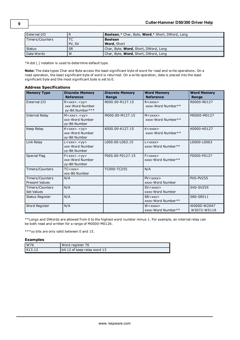| External I/O    |               | <b>Boolean,*</b> Char, Byte, <b>Word,*</b> Short, DWord, Long |
|-----------------|---------------|---------------------------------------------------------------|
| Timers/Counters |               | <b>Boolean</b>                                                |
|                 | <b>PV, SV</b> | Word, Short                                                   |
| <b>Status</b>   | <b>SR</b>     | Char, Byte, <b>Word</b> , Short, DWord, Long                  |
| Data Words      | W             | Char, Byte, <b>Word</b> , Short, DWord, Long                  |

\*A dot (.) notation is used to determine default type.

**Note:** The data types Char and Byte access the least significant byte of word for read and write operations. On a read operation, the least significant byte of word is returned. On a write operation, data is placed into the least significant byte and the most significant byte is set to 0.

#### **Address Specifications**

| <b>Memory Type</b>                       | <b>Discrete Memory</b><br><b>Reference</b>                | <b>Discrete Memory</b><br>Range | <b>Word Memory</b><br><b>Reference</b>                                            | <b>Word Memory</b><br>Range |
|------------------------------------------|-----------------------------------------------------------|---------------------------------|-----------------------------------------------------------------------------------|-----------------------------|
| External I/O                             | R < xxx > . < yy ><br>xxx-Word Number<br>yy-Bit Number*** | R000.00-R127.15                 | R < xxxx ><br>xxxx-Word Number**                                                  | R0000-R0127                 |
| <b>Internal Relay</b>                    | M < xxx > . < yy ><br>xxx-Word Number<br>yy-Bit Number    | M000.00-M127.15                 | $M <$ xxxx $>$<br>xxxx-Word Number**                                              | M0000-M0127                 |
| Keep Relay                               | $K < xxx > . <$ yy><br>xxx-Word Number<br>yy-Bit Number   | K000.00-K127.15                 | $K <$ xxxx $>$<br>xxxx-Word Number**                                              | K0000-K0127                 |
| Link Relay                               | L < xxx > . < yy ><br>xxx-Word Number<br>yy-Bit Number    | L000.00-L063.15                 | $L < x$ $x$ $x$ $x$<br>xxxx-Word Number**                                         | L0000-L0063                 |
| <b>Special Flag</b>                      | $F$ < xxx>. < yy><br>xxx-Word Number<br>yy-Bit Number     | F000.00-F0127.15                | $F$ $\langle$ $\rangle$ $\times$ $\times$ $\times$ $\times$<br>xxxx-Word Number** | F0000-F0127                 |
| Timers/Counters                          | $TC<$ xxx $>$<br>xxx-Bit Number                           | TC000-TC255                     | N/A                                                                               |                             |
| Timers/Counters<br><b>Present Values</b> | N/A                                                       |                                 | $PV <$ $xxxx$<br>xxxx-Word Number                                                 | PV0-PV255                   |
| Timers/Counters<br><b>Set Values</b>     | N/A                                                       |                                 | $SV <$ xxxx $>$<br>xxxx-Word Number                                               | SV0-SV255                   |
| <b>Status Register</b>                   | N/A                                                       |                                 | $SR <$ xxx $>$<br>xxxx-Word Number**                                              | <b>SR0-SR511</b>            |
| Word Register                            | N/A                                                       |                                 | W < xxxx<br>xxxx-Word Number**                                                    | W0000-W2047<br>W3072-W5119  |

\*\*Longs and DWords are allowed from 0 to the highest word number minus 1. For example, an internal relay can be both read and written for a range of M0000-M0126.

\*\*\*yy bits are only valid between 0 and 15.

#### **Examples**

| W76    | Word register 76             |
|--------|------------------------------|
| K13.12 | bit 12 of keep relay word 13 |

**9**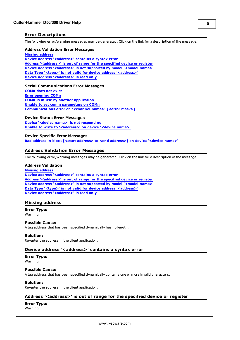#### <span id="page-9-0"></span>**Error Descriptions**

The following error/warning messages may be generated. Click on the link for a description of the message.

#### **Address Validation Error Messages**

**[Missing](#page-9-2) [address](#page-9-2) [Device](#page-9-3) [address](#page-9-3) ['<address>'](#page-9-3) [contains](#page-9-3) [a](#page-9-3) [syntax](#page-9-3) [error](#page-9-3) [Address](#page-9-4) ['<address>'](#page-9-4) [is](#page-9-4) [out](#page-9-4) [of](#page-9-4) [range](#page-9-4) [for](#page-9-4) [the](#page-9-4) [specified](#page-9-4) [device](#page-9-4) [or](#page-9-4) [register](#page-9-4) [Device](#page-10-0) [address](#page-10-0) ['<address>'](#page-10-0) [is](#page-10-0) [not](#page-10-0) [supported](#page-10-0) [by](#page-10-0) [model](#page-10-0) ['<model](#page-10-0) [name>'](#page-10-0) [Data](#page-10-1) [Type](#page-10-1) ['<type>'](#page-10-1) [is](#page-10-1) [not](#page-10-1) [valid](#page-10-1) [for](#page-10-1) [device](#page-10-1) [address](#page-10-1) ['<address>'](#page-10-1) [Device](#page-10-2) [address](#page-10-2) ['<address>'](#page-10-2)** [is](#page-10-2) [read](#page-10-2) [only](#page-10-2)

#### **Serial Communications Error Messages**

**[COMn](#page-10-4) [does](#page-10-4) [not](#page-10-4) [exist](#page-10-4) [Error](#page-11-0) [opening](#page-11-0) [COMn](#page-11-0) [COMn](#page-11-1) [is](#page-11-1) [in](#page-11-1) [use](#page-11-1) [by](#page-11-1) [another](#page-11-1) [application](#page-11-1) [Unable](#page-11-2) [to](#page-11-2) [set](#page-11-2) [comm](#page-11-2) [parameters](#page-11-2) [on](#page-11-2) [COMn](#page-11-2) [Communications](#page-11-3) [error](#page-11-3) [on](#page-11-3) ['<channel](#page-11-3) [name>'](#page-11-3) [\[<error](#page-11-3) [mask>\]](#page-11-3)**

#### **Device Status Error Messages**

**[Device](#page-12-0) ['<device](#page-12-0) [name>'](#page-12-0) [is](#page-12-0) [not](#page-12-0) [responding](#page-12-0) [Unable](#page-12-1) [to](#page-12-1) [write](#page-12-1) [to](#page-12-1) ['<address>'](#page-12-1) [on](#page-12-1) [device](#page-12-1) ['<device](#page-12-1) [name>'](#page-12-1)**

#### **Device Specific Error Messages**

<span id="page-9-1"></span>**[Bad](#page-12-3) [address](#page-12-3) [in](#page-12-3) [block](#page-12-3) [\[<start](#page-12-3) [address>](#page-12-3) [to](#page-12-3) [<end](#page-12-3) [address>\]](#page-12-3) [on](#page-12-3) [device](#page-12-3) ['<device](#page-12-3) [name>'](#page-12-3)**

#### **Address Validation Error Messages**

The following error/warning messages may be generated. Click on the link for a description of the message.

#### **Address Validation**

**[Missing](#page-9-2) [address](#page-9-2) [Device](#page-9-3) [address](#page-9-3) ['<address>'](#page-9-3) [contains](#page-9-3) [a](#page-9-3) [syntax](#page-9-3) [error](#page-9-3) [Address](#page-9-4) ['<address>'](#page-9-4) [is](#page-9-4) [out](#page-9-4) [of](#page-9-4) [range](#page-9-4) [for](#page-9-4) [the](#page-9-4) [specified](#page-9-4) [device](#page-9-4) [or](#page-9-4) [register](#page-9-4) [Device](#page-10-0) [address](#page-10-0) ['<address>'](#page-10-0) [is](#page-10-0) [not](#page-10-0) [supported](#page-10-0) [by](#page-10-0) [model](#page-10-0) ['<model](#page-10-0) [name>'](#page-10-0) [Data](#page-10-1) [Type](#page-10-1) ['<type>'](#page-10-1) [is](#page-10-1) [not](#page-10-1) [valid](#page-10-1) [for](#page-10-1) [device](#page-10-1) [address](#page-10-1) ['<address>'](#page-10-1) [Device](#page-10-2) [address](#page-10-2) ['<address>'](#page-10-2)** [is](#page-10-2) [read](#page-10-2) [only](#page-10-2)

#### <span id="page-9-2"></span>**Missing address**

**Error Type:**

Warning

#### **Possible Cause:**

A tag address that has been specified dynamically has no length.

#### **Solution:**

<span id="page-9-3"></span>Re-enter the address in the client application.

#### Device address '<address>' contains a syntax error

## **Error Type:**

Warning

#### **Possible Cause:**

A tag address that has been specified dynamically contains one or more invalid characters.

#### **Solution:**

<span id="page-9-4"></span>Re-enter the address in the client application.

#### **Address '<address>' is out of range for the specified device or register**

### **Error Type:**

Warning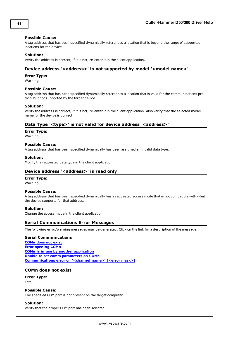#### **Possible Cause:**

A tag address that has been specified dynamically references a location that is beyond the range of supported locations for the device.

#### **Solution:**

<span id="page-10-0"></span>Verify the address is correct; if it is not, re-enter it in the client application.

#### Device address '<address>' is not supported by model '<model name>'

#### **Error Type:**

Warning

#### **Possible Cause:**

A tag address that has been specified dynamically references a location that is valid for the communications protocol but not supported by the target device.

#### **Solution:**

Verify the address is correct; if it is not, re-enter it in the client application. Also verify that the selected model name for the device is correct.

#### <span id="page-10-1"></span>Data Type '<type>' is not valid for device address '<address>'

#### **Error Type:**

Warning

#### **Possible Cause:**

A tag address that has been specified dynamically has been assigned an invalid data type.

#### **Solution:**

<span id="page-10-2"></span>Modify the requested data type in the client application.

#### Device address '<address>' is read only

#### **Error Type:**

Warning

#### **Possible Cause:**

A tag address that has been specified dynamically has a requested access mode that is not compatible with what the device supports for that address.

#### **Solution:**

<span id="page-10-3"></span>Change the access mode in the client application.

#### **Serial Communications Error Messages**

The following error/warning messages may be generated. Click on the link for a description of the message.

#### **Serial Communications**

**[COMn](#page-10-4) [does](#page-10-4) [not](#page-10-4) [exist](#page-10-4) [Error](#page-11-0) [opening](#page-11-0) [COMn](#page-11-0) [COMn](#page-11-1) [is](#page-11-1) [in](#page-11-1) [use](#page-11-1) [by](#page-11-1) [another](#page-11-1) [application](#page-11-1) [Unable](#page-11-2) [to](#page-11-2) [set](#page-11-2) [comm](#page-11-2) [parameters](#page-11-2) [on](#page-11-2) [COMn](#page-11-2) [Communications](#page-11-3) [error](#page-11-3) [on](#page-11-3) ['<channel](#page-11-3) [name>'](#page-11-3) [\[<error](#page-11-3) [mask>\]](#page-11-3)**

#### <span id="page-10-4"></span>**COMn does not exist**

#### **Error Type:** Fatal

#### **Possible Cause:**

The specified COM port is not present on the target computer.

#### **Solution:**

Verify that the proper COM port has been selected.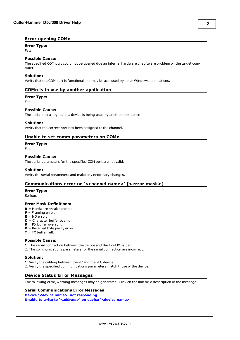#### <span id="page-11-0"></span>**Error opening COMn**

#### **Error Type:**

Fatal

#### **Possible Cause:**

The specified COM port could not be opened due an internal hardware or software problem on the target computer.

#### **Solution:**

<span id="page-11-1"></span>Verify that the COM port is functional and may be accessed by other Windows applications.

#### **COMn is in use by another application**

#### **Error Type:**

Fatal

#### **Possible Cause:**

The serial port assigned to a device is being used by another application.

#### **Solution:**

<span id="page-11-2"></span>Verify that the correct port has been assigned to the channel.

#### **Unable to set comm parameters on COMn**

**Error Type:**

Fatal

#### **Possible Cause:**

The serial parameters for the specified COM port are not valid.

#### **Solution:**

<span id="page-11-3"></span>Verify the serial parameters and make any necessary changes.

#### **Communications error on '<channel name>' [<error mask>]**

#### **Error Type:**

Serious

#### **Error Mask Definitions:**

- <span id="page-11-5"></span>**B** = Hardware break detected.
- **F** = Framing error.
- <span id="page-11-6"></span> $E = I/O$  error.
- **O** = Character buffer overrun.
- <span id="page-11-7"></span>**R** = RX buffer overrun.
- **P** = Received byte parity error.
- $$

#### **Possible Cause:**

- 1. The serial connection between the device and the Host PC is bad.
- 2. The communications parameters for the serial connection are incorrect.

#### **Solution:**

- 1. Verify the cabling between the PC and the PLC device.
- <span id="page-11-4"></span>2. Verify the specified communications parameters match those of the device.

### **Device Status Error Messages**

The following error/warning messages may be generated. Click on the link for a description of the message.

### **Serial Communications Error Messages**

**[Device](#page-12-0) ['<device](#page-12-0) [name>'](#page-12-0) [not](#page-12-0) [responding](#page-12-0) [Unable](#page-12-1) [to](#page-12-1) [write](#page-12-1) [to](#page-12-1) ['<address>'](#page-12-1) [on](#page-12-1) [device](#page-12-1) ['<device](#page-12-1) [name>'](#page-12-1)**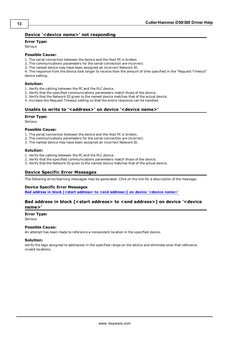#### <span id="page-12-0"></span>**Device '<device name>' not responding**

#### **Error Type:**

Serious

#### **Possible Cause:**

1. The serial connection between the device and the Host PC is broken.

- 2. The communications parameters for the serial connection are incorrect.
- 3. The named device may have been assigned an incorrect Network ID.

4. The response from the device took longer to receive than the amount of time specified in the "Request Timeout" device setting.

#### **Solution:**

- 1. Verify the cabling between the PC and the PLC device.
- 2. Verify that the specified communications parameters match those of the device.
- 3. Verify that the Network ID given to the named device matches that of the actual device.
- <span id="page-12-1"></span>4. Increase the Request Timeout setting so that the entire response can be handled.

#### Unable to write to '<address>' on device '<device name>'

#### **Error Type:**

Serious

#### **Possible Cause:**

- 1. The serial connection between the device and the Host PC is broken.
- 2. The communications parameters for the serial connection are incorrect.
- 3. The named device may have been assigned an incorrect Network ID.

#### **Solution:**

- 1. Verify the cabling between the PC and the PLC device.
- 2. Verify that the specified communications parameters match those of the device.
- <span id="page-12-2"></span>3. Verify that the Network ID given to the named device matches that of the actual device.

#### **Device Specific Error Messages**

The following error/warning messages may be generated. Click on the link for a description of the message.

#### **Device Specific Error Messages**

<span id="page-12-3"></span>**[Bad](#page-12-3) [address](#page-12-3) [in](#page-12-3) [block](#page-12-3) [\[<start](#page-12-3) [address>](#page-12-3) [to](#page-12-3) [<end](#page-12-3) [address>\]](#page-12-3) [on](#page-12-3) [device](#page-12-3) ['<device](#page-12-3) [name>'](#page-12-3)**

#### **Bad address in block [<start address> to <end address>] on device '<device name>'**

#### **Error Type:**

Serious

#### **Possible Cause:**

An attempt has been made to reference a nonexistent location in the specified device.

#### **Solution:**

Verify the tags assigned to addresses in the specified range on the device and eliminate ones that reference invalid locations.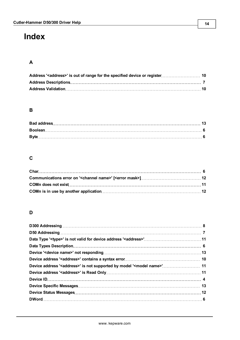# <span id="page-13-0"></span>**Index**

## **A**

### **B**

### **C**

### **D**

| Device address ' <address>' is not supported by model '<model name="">' 11</model></address> |  |
|----------------------------------------------------------------------------------------------|--|
|                                                                                              |  |
|                                                                                              |  |
|                                                                                              |  |
|                                                                                              |  |
|                                                                                              |  |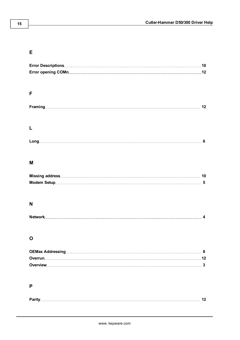### **E**

| F            |
|--------------|
|              |
|              |
|              |
|              |
|              |
|              |
|              |
| $\mathbf{I}$ |
|              |
|              |
|              |
| M            |
|              |
|              |
|              |
|              |
|              |
| N            |
|              |
|              |
|              |
| O            |
|              |
|              |
|              |
|              |
|              |
| P            |
|              |
| 12           |